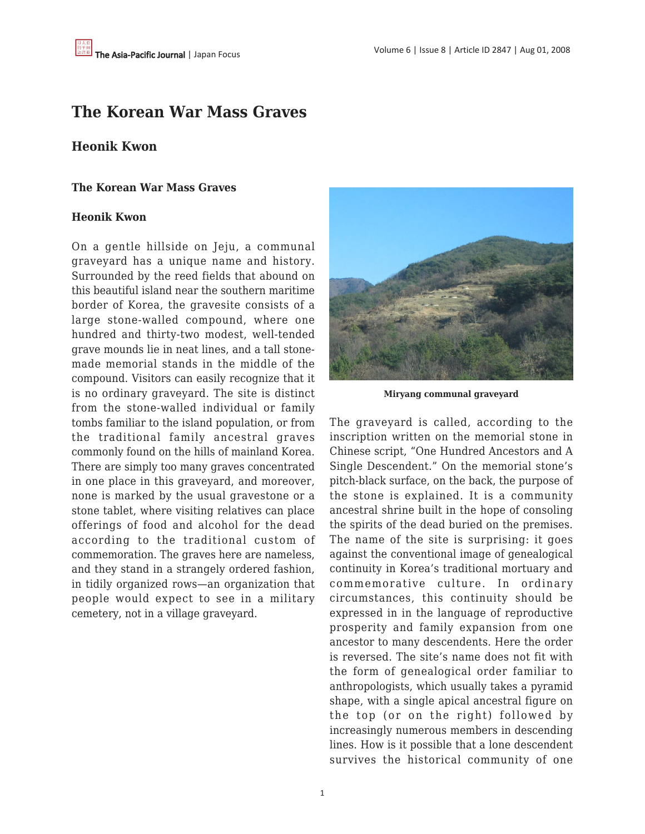## **The Korean War Mass Graves**

## **Heonik Kwon**

## **The Korean War Mass Graves**

## **Heonik Kwon**

On a gentle hillside on Jeju, a communal graveyard has a unique name and history. Surrounded by the reed fields that abound on this beautiful island near the southern maritime border of Korea, the gravesite consists of a large stone-walled compound, where one hundred and thirty-two modest, well-tended grave mounds lie in neat lines, and a tall stonemade memorial stands in the middle of the compound. Visitors can easily recognize that it is no ordinary graveyard. The site is distinct from the stone-walled individual or family tombs familiar to the island population, or from the traditional family ancestral graves commonly found on the hills of mainland Korea. There are simply too many graves concentrated in one place in this graveyard, and moreover, none is marked by the usual gravestone or a stone tablet, where visiting relatives can place offerings of food and alcohol for the dead according to the traditional custom of commemoration. The graves here are nameless, and they stand in a strangely ordered fashion, in tidily organized rows—an organization that people would expect to see in a military cemetery, not in a village graveyard.



**Miryang communal graveyard**

The graveyard is called, according to the inscription written on the memorial stone in Chinese script, "One Hundred Ancestors and A Single Descendent." On the memorial stone's pitch-black surface, on the back, the purpose of the stone is explained. It is a community ancestral shrine built in the hope of consoling the spirits of the dead buried on the premises. The name of the site is surprising: it goes against the conventional image of genealogical continuity in Korea's traditional mortuary and commemorative culture. In ordinary circumstances, this continuity should be expressed in in the language of reproductive prosperity and family expansion from one ancestor to many descendents. Here the order is reversed. The site's name does not fit with the form of genealogical order familiar to anthropologists, which usually takes a pyramid shape, with a single apical ancestral figure on the top (or on the right) followed by increasingly numerous members in descending lines. How is it possible that a lone descendent survives the historical community of one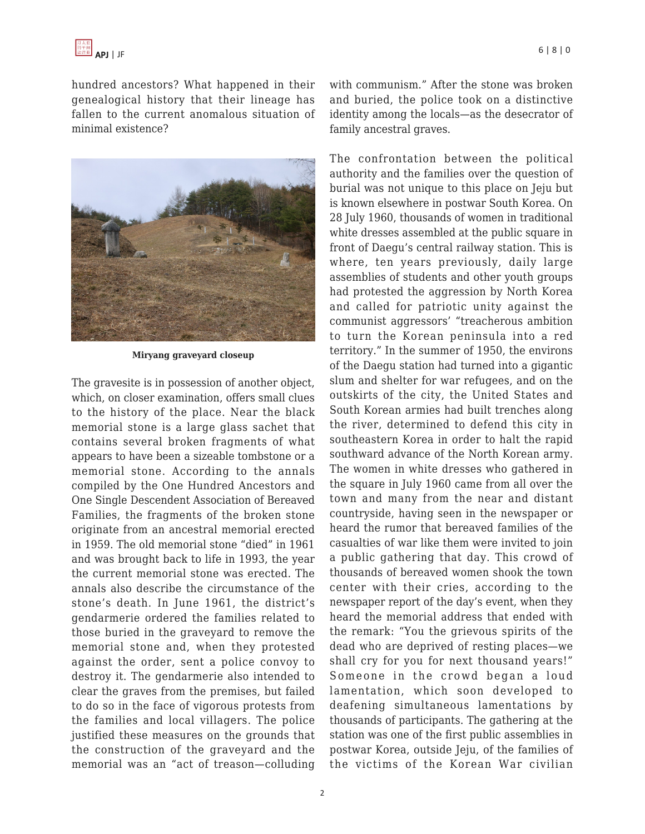

hundred ancestors? What happened in their genealogical history that their lineage has fallen to the current anomalous situation of minimal existence?



**Miryang graveyard closeup**

The gravesite is in possession of another object, which, on closer examination, offers small clues to the history of the place. Near the black memorial stone is a large glass sachet that contains several broken fragments of what appears to have been a sizeable tombstone or a memorial stone. According to the annals compiled by the One Hundred Ancestors and One Single Descendent Association of Bereaved Families, the fragments of the broken stone originate from an ancestral memorial erected in 1959. The old memorial stone "died" in 1961 and was brought back to life in 1993, the year the current memorial stone was erected. The annals also describe the circumstance of the stone's death. In June 1961, the district's gendarmerie ordered the families related to those buried in the graveyard to remove the memorial stone and, when they protested against the order, sent a police convoy to destroy it. The gendarmerie also intended to clear the graves from the premises, but failed to do so in the face of vigorous protests from the families and local villagers. The police justified these measures on the grounds that the construction of the graveyard and the memorial was an "act of treason—colluding

with communism." After the stone was broken and buried, the police took on a distinctive identity among the locals—as the desecrator of family ancestral graves.

The confrontation between the political authority and the families over the question of burial was not unique to this place on Jeju but is known elsewhere in postwar South Korea. On 28 July 1960, thousands of women in traditional white dresses assembled at the public square in front of Daegu's central railway station. This is where, ten years previously, daily large assemblies of students and other youth groups had protested the aggression by North Korea and called for patriotic unity against the communist aggressors' "treacherous ambition to turn the Korean peninsula into a red territory." In the summer of 1950, the environs of the Daegu station had turned into a gigantic slum and shelter for war refugees, and on the outskirts of the city, the United States and South Korean armies had built trenches along the river, determined to defend this city in southeastern Korea in order to halt the rapid southward advance of the North Korean army. The women in white dresses who gathered in the square in July 1960 came from all over the town and many from the near and distant countryside, having seen in the newspaper or heard the rumor that bereaved families of the casualties of war like them were invited to join a public gathering that day. This crowd of thousands of bereaved women shook the town center with their cries, according to the newspaper report of the day's event, when they heard the memorial address that ended with the remark: "You the grievous spirits of the dead who are deprived of resting places—we shall cry for you for next thousand years!" Someone in the crowd began a loud lamentation, which soon developed to deafening simultaneous lamentations by thousands of participants. The gathering at the station was one of the first public assemblies in postwar Korea, outside Jeju, of the families of the victims of the Korean War civilian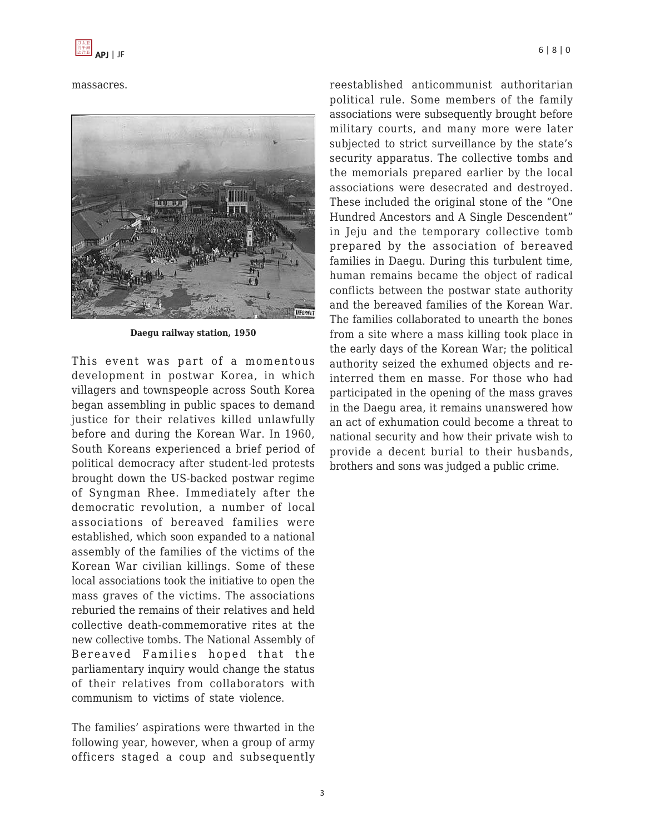massacres.



**Daegu railway station, 1950**

This event was part of a momentous development in postwar Korea, in which villagers and townspeople across South Korea began assembling in public spaces to demand justice for their relatives killed unlawfully before and during the Korean War. In 1960, South Koreans experienced a brief period of political democracy after student-led protests brought down the US-backed postwar regime of Syngman Rhee. Immediately after the democratic revolution, a number of local associations of bereaved families were established, which soon expanded to a national assembly of the families of the victims of the Korean War civilian killings. Some of these local associations took the initiative to open the mass graves of the victims. The associations reburied the remains of their relatives and held collective death-commemorative rites at the new collective tombs. The National Assembly of Bereaved Families hoped that the parliamentary inquiry would change the status of their relatives from collaborators with communism to victims of state violence.

The families' aspirations were thwarted in the following year, however, when a group of army officers staged a coup and subsequently reestablished anticommunist authoritarian political rule. Some members of the family associations were subsequently brought before military courts, and many more were later subjected to strict surveillance by the state's security apparatus. The collective tombs and the memorials prepared earlier by the local associations were desecrated and destroyed. These included the original stone of the "One Hundred Ancestors and A Single Descendent" in Jeju and the temporary collective tomb prepared by the association of bereaved families in Daegu. During this turbulent time, human remains became the object of radical conflicts between the postwar state authority and the bereaved families of the Korean War. The families collaborated to unearth the bones from a site where a mass killing took place in the early days of the Korean War; the political authority seized the exhumed objects and reinterred them en masse. For those who had participated in the opening of the mass graves in the Daegu area, it remains unanswered how an act of exhumation could become a threat to national security and how their private wish to provide a decent burial to their husbands, brothers and sons was judged a public crime.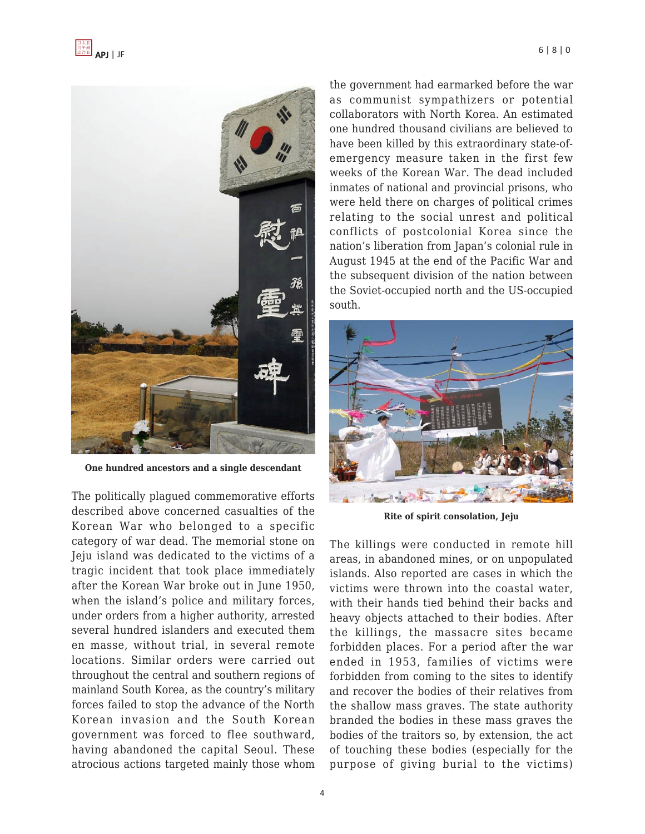

**One hundred ancestors and a single descendant**

The politically plagued commemorative efforts described above concerned casualties of the Korean War who belonged to a specific category of war dead. The memorial stone on Jeju island was dedicated to the victims of a tragic incident that took place immediately after the Korean War broke out in June 1950, when the island's police and military forces, under orders from a higher authority, arrested several hundred islanders and executed them en masse, without trial, in several remote locations. Similar orders were carried out throughout the central and southern regions of mainland South Korea, as the country's military forces failed to stop the advance of the North Korean invasion and the South Korean government was forced to flee southward, having abandoned the capital Seoul. These atrocious actions targeted mainly those whom

the government had earmarked before the war as communist sympathizers or potential collaborators with North Korea. An estimated one hundred thousand civilians are believed to have been killed by this extraordinary state-ofemergency measure taken in the first few weeks of the Korean War. The dead included inmates of national and provincial prisons, who were held there on charges of political crimes relating to the social unrest and political conflicts of postcolonial Korea since the nation's liberation from Japan's colonial rule in August 1945 at the end of the Pacific War and the subsequent division of the nation between the Soviet-occupied north and the US-occupied south.



**Rite of spirit consolation, Jeju**

The killings were conducted in remote hill areas, in abandoned mines, or on unpopulated islands. Also reported are cases in which the victims were thrown into the coastal water, with their hands tied behind their backs and heavy objects attached to their bodies. After the killings, the massacre sites became forbidden places. For a period after the war ended in 1953, families of victims were forbidden from coming to the sites to identify and recover the bodies of their relatives from the shallow mass graves. The state authority branded the bodies in these mass graves the bodies of the traitors so, by extension, the act of touching these bodies (especially for the purpose of giving burial to the victims)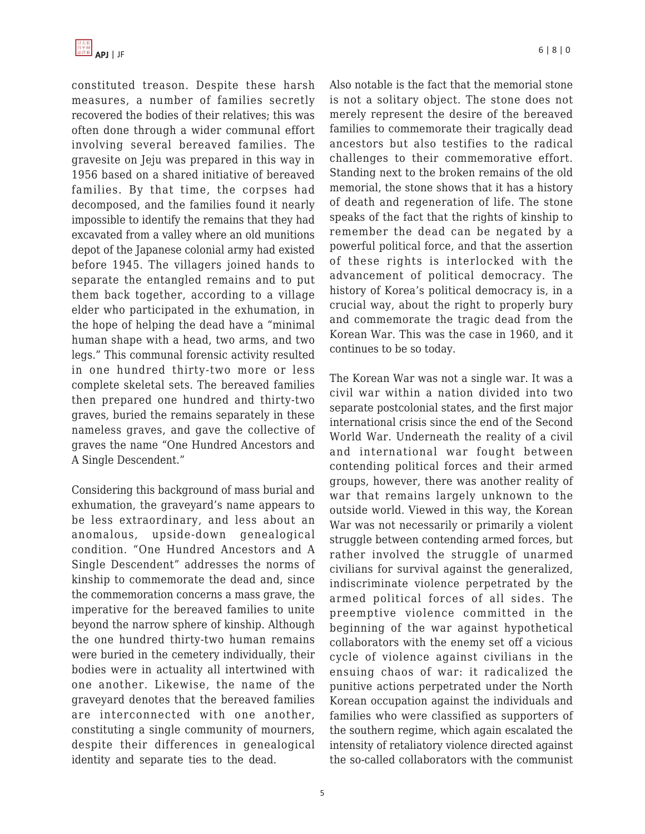

constituted treason. Despite these harsh measures, a number of families secretly recovered the bodies of their relatives; this was often done through a wider communal effort involving several bereaved families. The gravesite on Jeju was prepared in this way in 1956 based on a shared initiative of bereaved families. By that time, the corpses had decomposed, and the families found it nearly impossible to identify the remains that they had excavated from a valley where an old munitions depot of the Japanese colonial army had existed before 1945. The villagers joined hands to separate the entangled remains and to put them back together, according to a village elder who participated in the exhumation, in the hope of helping the dead have a "minimal human shape with a head, two arms, and two legs." This communal forensic activity resulted in one hundred thirty-two more or less complete skeletal sets. The bereaved families then prepared one hundred and thirty-two graves, buried the remains separately in these nameless graves, and gave the collective of graves the name "One Hundred Ancestors and A Single Descendent."

Considering this background of mass burial and exhumation, the graveyard's name appears to be less extraordinary, and less about an anomalous, upside-down genealogical condition. "One Hundred Ancestors and A Single Descendent" addresses the norms of kinship to commemorate the dead and, since the commemoration concerns a mass grave, the imperative for the bereaved families to unite beyond the narrow sphere of kinship. Although the one hundred thirty-two human remains were buried in the cemetery individually, their bodies were in actuality all intertwined with one another. Likewise, the name of the graveyard denotes that the bereaved families are interconnected with one another, constituting a single community of mourners, despite their differences in genealogical identity and separate ties to the dead.

Also notable is the fact that the memorial stone is not a solitary object. The stone does not merely represent the desire of the bereaved families to commemorate their tragically dead ancestors but also testifies to the radical challenges to their commemorative effort. Standing next to the broken remains of the old memorial, the stone shows that it has a history of death and regeneration of life. The stone speaks of the fact that the rights of kinship to remember the dead can be negated by a powerful political force, and that the assertion of these rights is interlocked with the advancement of political democracy. The history of Korea's political democracy is, in a crucial way, about the right to properly bury and commemorate the tragic dead from the Korean War. This was the case in 1960, and it continues to be so today.

The Korean War was not a single war. It was a civil war within a nation divided into two separate postcolonial states, and the first major international crisis since the end of the Second World War. Underneath the reality of a civil and international war fought between contending political forces and their armed groups, however, there was another reality of war that remains largely unknown to the outside world. Viewed in this way, the Korean War was not necessarily or primarily a violent struggle between contending armed forces, but rather involved the struggle of unarmed civilians for survival against the generalized, indiscriminate violence perpetrated by the armed political forces of all sides. The preemptive violence committed in the beginning of the war against hypothetical collaborators with the enemy set off a vicious cycle of violence against civilians in the ensuing chaos of war: it radicalized the punitive actions perpetrated under the North Korean occupation against the individuals and families who were classified as supporters of the southern regime, which again escalated the intensity of retaliatory violence directed against the so-called collaborators with the communist